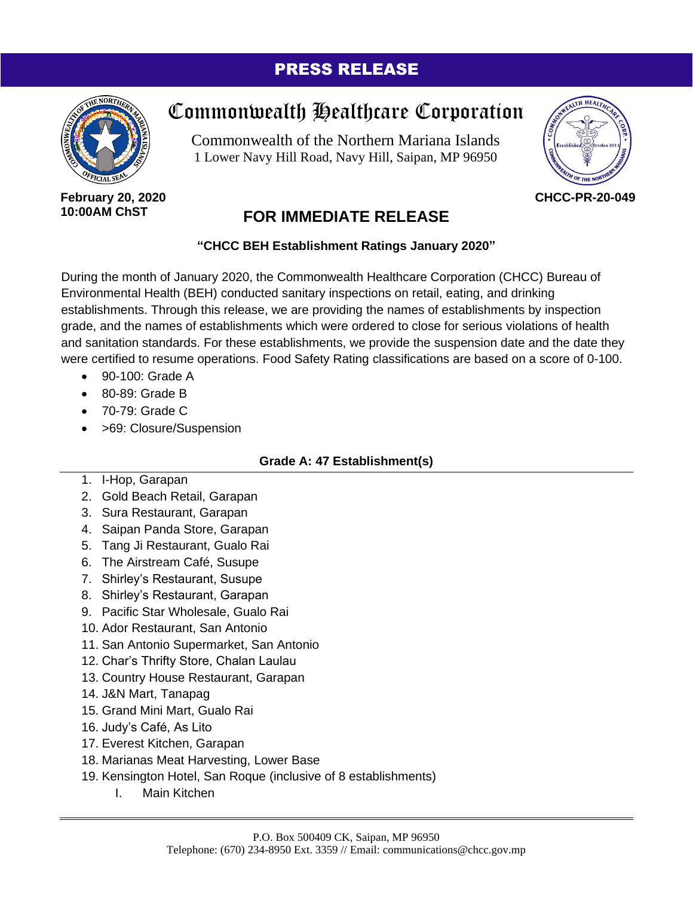# PRESS RELEASE



# Commonwealth Healthcare Corporation

Commonwealth of the Northern Mariana Islands 1 Lower Navy Hill Road, Navy Hill, Saipan, MP 96950



**CHCC-PR-20-049**

#### **February 20, 2020 10:00AM ChST**

# **FOR IMMEDIATE RELEASE**

# **"CHCC BEH Establishment Ratings January 2020"**

During the month of January 2020, the Commonwealth Healthcare Corporation (CHCC) Bureau of Environmental Health (BEH) conducted sanitary inspections on retail, eating, and drinking establishments. Through this release, we are providing the names of establishments by inspection grade, and the names of establishments which were ordered to close for serious violations of health and sanitation standards. For these establishments, we provide the suspension date and the date they were certified to resume operations. Food Safety Rating classifications are based on a score of 0-100.

- $\bullet$  90-100; Grade A
- 80-89: Grade B
- 70-79: Grade C
- > 69: Closure/Suspension

# **Grade A: 47 Establishment(s)**

- 1. I-Hop, Garapan
- 2. Gold Beach Retail, Garapan
- 3. Sura Restaurant, Garapan
- 4. Saipan Panda Store, Garapan
- 5. Tang Ji Restaurant, Gualo Rai
- 6. The Airstream Café, Susupe
- 7. Shirley's Restaurant, Susupe
- 8. Shirley's Restaurant, Garapan
- 9. Pacific Star Wholesale, Gualo Rai
- 10. Ador Restaurant, San Antonio
- 11. San Antonio Supermarket, San Antonio
- 12. Char's Thrifty Store, Chalan Laulau
- 13. Country House Restaurant, Garapan
- 14. J&N Mart, Tanapag
- 15. Grand Mini Mart, Gualo Rai
- 16. Judy's Café, As Lito
- 17. Everest Kitchen, Garapan
- 18. Marianas Meat Harvesting, Lower Base
- 19. Kensington Hotel, San Roque (inclusive of 8 establishments)
	- I. Main Kitchen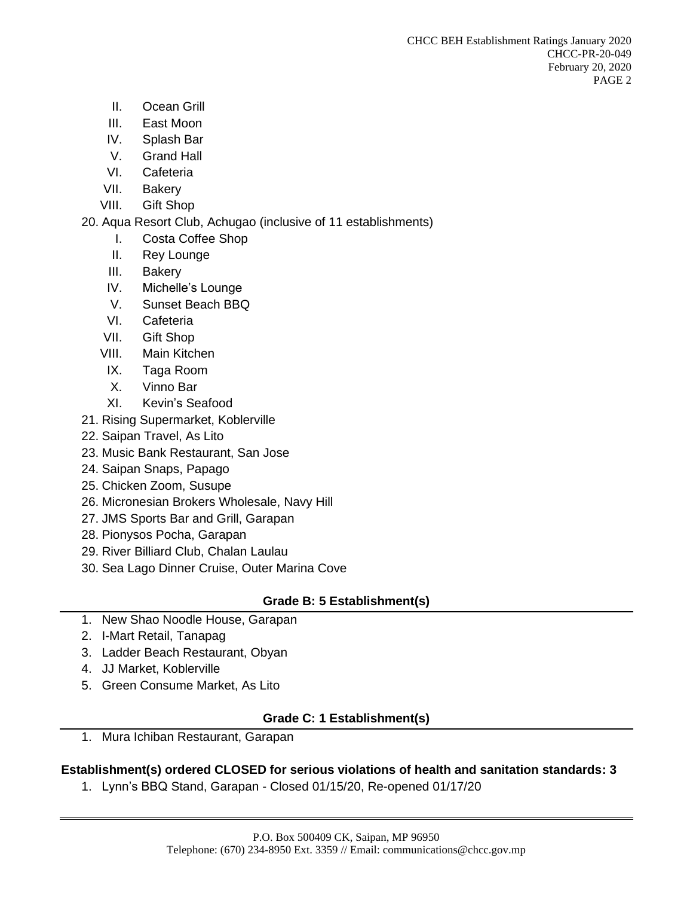- II. Ocean Grill
- III. East Moon
- IV. Splash Bar
- V. Grand Hall
- VI. Cafeteria
- VII. Bakery
- VIII. Gift Shop

### 20. Aqua Resort Club, Achugao (inclusive of 11 establishments)

- I. Costa Coffee Shop
- II. Rey Lounge
- III. Bakery
- IV. Michelle's Lounge
- V. Sunset Beach BBQ
- VI. Cafeteria
- VII. Gift Shop
- VIII. Main Kitchen
- IX. Taga Room
- X. Vinno Bar
- XI. Kevin's Seafood
- 21. Rising Supermarket, Koblerville
- 22. Saipan Travel, As Lito
- 23. Music Bank Restaurant, San Jose
- 24. Saipan Snaps, Papago
- 25. Chicken Zoom, Susupe
- 26. Micronesian Brokers Wholesale, Navy Hill
- 27. JMS Sports Bar and Grill, Garapan
- 28. Pionysos Pocha, Garapan
- 29. River Billiard Club, Chalan Laulau
- 30. Sea Lago Dinner Cruise, Outer Marina Cove

#### **Grade B: 5 Establishment(s)**

- 1. New Shao Noodle House, Garapan
- 2. I-Mart Retail, Tanapag
- 3. Ladder Beach Restaurant, Obyan
- 4. JJ Market, Koblerville
- 5. Green Consume Market, As Lito

# **Grade C: 1 Establishment(s)**

1. Mura Ichiban Restaurant, Garapan

#### **Establishment(s) ordered CLOSED for serious violations of health and sanitation standards: 3**

1. Lynn's BBQ Stand, Garapan - Closed 01/15/20, Re-opened 01/17/20